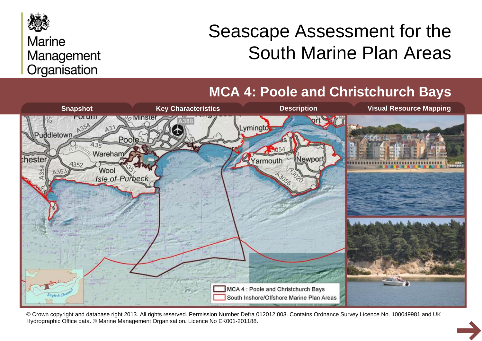

#### **Marine** Management Organisation

# Seascape Assessment for the South Marine Plan Areas

**MCA 4: Poole and Christchurch Bays**



© Crown copyright and database right 2013. All rights reserved. Permission Number Defra 012012.003. Contains Ordnance Survey Licence No. 100049981 and UK Hydrographic Office data. © Marine Management Organisation. Licence No EK001-201188.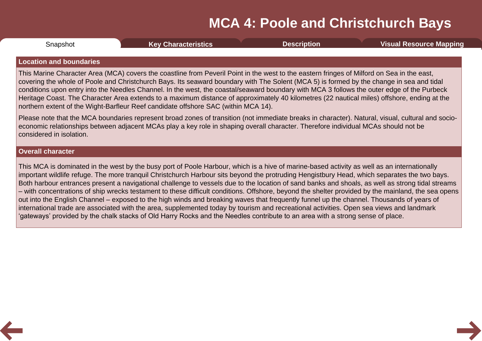<span id="page-1-0"></span>

| Snapshot | <b>Key Characteristics</b> | Description | <b>Visual Resource Mapping</b> |
|----------|----------------------------|-------------|--------------------------------|
|          |                            |             |                                |

#### **Location and boundaries**

This Marine Character Area (MCA) covers the coastline from Peveril Point in the west to the eastern fringes of Milford on Sea in the east, covering the whole of Poole and Christchurch Bays. Its seaward boundary with The Solent (MCA 5) is formed by the change in sea and tidal conditions upon entry into the Needles Channel. In the west, the coastal/seaward boundary with MCA 3 follows the outer edge of the Purbeck Heritage Coast. The Character Area extends to a maximum distance of approximately 40 kilometres (22 nautical miles) offshore, ending at the northern extent of the Wight-Barfleur Reef candidate offshore SAC (within MCA 14).

Please note that the MCA boundaries represent broad zones of transition (not immediate breaks in character). Natural, visual, cultural and socio economic relationships between adjacent MCAs play a key role in shaping overall character. Therefore individual MCAs should not be considered in isolation.

#### **Overall character**

This MCA is dominated in the west by the busy port of Poole Harbour, which is a hive of marine-based activity as well as an internationally important wildlife refuge. The more tranquil Christchurch Harbour sits beyond the protruding Hengistbury Head, which separates the two bays. Both harbour entrances present a navigational challenge to vessels due to the location of sand banks and shoals, as well as strong tidal streams – with concentrations of ship wrecks testament to these difficult conditions. Offshore, beyond the shelter provided by the mainland, the sea opens out into the English Channel – exposed to the high winds and breaking waves that frequently funnel up the channel. Thousands of years of international trade are associated with the area, supplemented today by tourism and recreational activities. Open sea views and landmark 'gateways' provided by the chalk stacks of Old Harry Rocks and the Needles contribute to an area with a strong sense of place.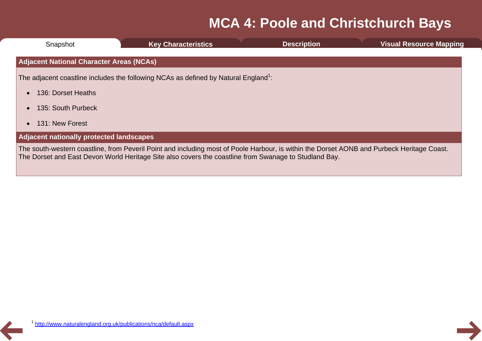| Snapshot                                        | <b>Key Characteristics</b>                                                                                                                                                                                                                          | <b>Description</b> | <b>Visual Resource Mapping</b> |
|-------------------------------------------------|-----------------------------------------------------------------------------------------------------------------------------------------------------------------------------------------------------------------------------------------------------|--------------------|--------------------------------|
| <b>Adjacent National Character Areas (NCAs)</b> |                                                                                                                                                                                                                                                     |                    |                                |
|                                                 | The adjacent coastline includes the following NCAs as defined by Natural England <sup>1</sup> :                                                                                                                                                     |                    |                                |
| 136: Dorset Heaths                              |                                                                                                                                                                                                                                                     |                    |                                |
| 135: South Purbeck                              |                                                                                                                                                                                                                                                     |                    |                                |
| 131: New Forest                                 |                                                                                                                                                                                                                                                     |                    |                                |
| <b>Adjacent nationally protected landscapes</b> |                                                                                                                                                                                                                                                     |                    |                                |
|                                                 | The south-western coastline, from Peveril Point and including most of Poole Harbour, is within the Dorset AONB and Purbeck Heritage Coast.<br>The Dorset and East Devon World Heritage Site also covers the coastline from Swanage to Studland Bay. |                    |                                |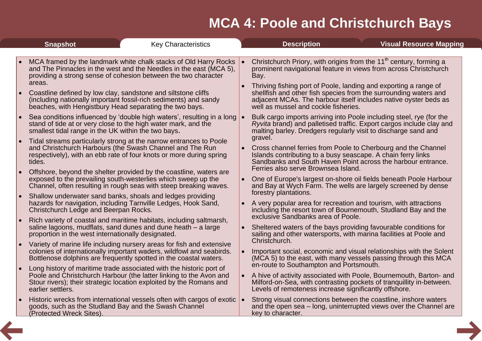<span id="page-3-0"></span>

|           | <b>Snapshot</b>                                                                                                                    | <b>Key Characteristics</b>                                                                                                                                                                                                                                                   | <b>Description</b>                                                                                                                                                                                                                                                                                                                                                                                             | <b>Visual Resource Mapping</b> |
|-----------|------------------------------------------------------------------------------------------------------------------------------------|------------------------------------------------------------------------------------------------------------------------------------------------------------------------------------------------------------------------------------------------------------------------------|----------------------------------------------------------------------------------------------------------------------------------------------------------------------------------------------------------------------------------------------------------------------------------------------------------------------------------------------------------------------------------------------------------------|--------------------------------|
|           |                                                                                                                                    |                                                                                                                                                                                                                                                                              |                                                                                                                                                                                                                                                                                                                                                                                                                |                                |
| $\bullet$ | areas.<br>Coastline defined by low clay, sandstone and siltstone cliffs<br>beaches, with Hengistbury Head separating the two bays. | MCA framed by the landmark white chalk stacks of Old Harry Rocks<br>and The Pinnacles in the west and the Needles in the east (MCA 5),<br>providing a strong sense of cohesion between the two character<br>(including nationally important fossil-rich sediments) and sandy | Christchurch Priory, with origins from the 11 <sup>th</sup> century, forming a<br>prominent navigational feature in views from across Christchurch<br>Bay.<br>Thriving fishing port of Poole, landing and exporting a range of<br>shellfish and other fish species from the surrounding waters and<br>adjacent MCAs. The harbour itself includes native oyster beds as<br>well as mussel and cockle fisheries. |                                |
| $\bullet$ | stand of tide at or very close to the high water mark, and the<br>smallest tidal range in the UK within the two bays.              | Sea conditions influenced by 'double high waters', resulting in a long                                                                                                                                                                                                       | Bulk cargo imports arriving into Poole including steel, rye (for the<br>Ryvita brand) and palletised traffic. Export cargos include clay and<br>malting barley. Dredgers regularly visit to discharge sand and<br>gravel.                                                                                                                                                                                      |                                |
| $\bullet$ | tides.                                                                                                                             | Tidal streams particularly strong at the narrow entrances to Poole<br>and Christchurch Harbours (the Swash Channel and The Run<br>respectively), with an ebb rate of four knots or more during spring                                                                        | • Cross channel ferries from Poole to Cherbourg and the Channel<br>Islands contributing to a busy seascape. A chain ferry links<br>Sandbanks and South Haven Point across the harbour entrance.                                                                                                                                                                                                                |                                |
|           |                                                                                                                                    | Offshore, beyond the shelter provided by the coastline, waters are<br>exposed to the prevailing south-westerlies which sweep up the<br>Channel, often resulting in rough seas with steep breaking waves.                                                                     | Ferries also serve Brownsea Island.<br>One of Europe's largest on-shore oil fields beneath Poole Harbour<br>and Bay at Wych Farm. The wells are largely screened by dense                                                                                                                                                                                                                                      |                                |
|           | Christchurch Ledge and Beerpan Rocks.                                                                                              | Shallow underwater sand banks, shoals and ledges providing<br>hazards for navigation, including Tarnville Ledges, Hook Sand,                                                                                                                                                 | forestry plantations.<br>A very popular area for recreation and tourism, with attractions<br>including the resort town of Bournemouth, Studland Bay and the<br>exclusive Sandbanks area of Poole.                                                                                                                                                                                                              |                                |
| $\bullet$ | proportion in the west internationally designated.                                                                                 | Rich variety of coastal and maritime habitats, including saltmarsh,<br>saline lagoons, mudflats, sand dunes and dune heath - a large                                                                                                                                         | Sheltered waters of the bays providing favourable conditions for<br>sailing and other watersports, with marina facilities at Poole and<br>Christchurch.                                                                                                                                                                                                                                                        |                                |
| $\bullet$ |                                                                                                                                    | Variety of marine life including nursery areas for fish and extensive<br>colonies of internationally important waders, wildfowl and seabirds.<br>Bottlenose dolphins are frequently spotted in the coastal waters.                                                           | Important social, economic and visual relationships with the Solent<br>(MCA 5) to the east, with many vessels passing through this MCA<br>en-route to Southampton and Portsmouth.                                                                                                                                                                                                                              |                                |
|           | earlier settlers.                                                                                                                  | Long history of maritime trade associated with the historic port of<br>Poole and Christchurch Harbour (the latter linking to the Avon and<br>Stour rivers); their strategic location exploited by the Romans and                                                             | A hive of activity associated with Poole, Bournemouth, Barton- and<br>Milford-on-Sea, with contrasting pockets of tranquillity in-between.<br>Levels of remoteness increase significantly offshore.                                                                                                                                                                                                            |                                |
|           | goods, such as the Studland Bay and the Swash Channel<br>(Protected Wreck Sites).                                                  | Historic wrecks from international vessels often with cargos of exotic                                                                                                                                                                                                       | Strong visual connections between the coastline, inshore waters<br>and the open sea – long, uninterrupted views over the Channel are<br>key to character.                                                                                                                                                                                                                                                      |                                |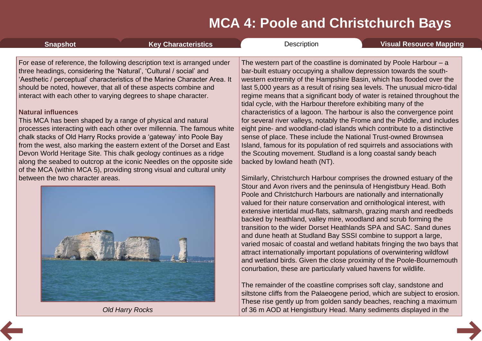of 36 m AOD at Hengistbury Head. Many sediments displayed in the

<span id="page-4-0"></span>

| <b>Snapshot</b>                                                                                                                                                                                                                                                                                                                                                                                                                                                                                                                                                                                                                                                                                                                                                                                                                                                                                                | <b>Key Characteristics</b> | Description                                                                                                                                                                                                                                                                                                                                                                                                                                                                                                                                                                                                                                                                                                                                                                                                                                                                                                                                                                                                                        | <b>Visual Resource Mapping</b> |
|----------------------------------------------------------------------------------------------------------------------------------------------------------------------------------------------------------------------------------------------------------------------------------------------------------------------------------------------------------------------------------------------------------------------------------------------------------------------------------------------------------------------------------------------------------------------------------------------------------------------------------------------------------------------------------------------------------------------------------------------------------------------------------------------------------------------------------------------------------------------------------------------------------------|----------------------------|------------------------------------------------------------------------------------------------------------------------------------------------------------------------------------------------------------------------------------------------------------------------------------------------------------------------------------------------------------------------------------------------------------------------------------------------------------------------------------------------------------------------------------------------------------------------------------------------------------------------------------------------------------------------------------------------------------------------------------------------------------------------------------------------------------------------------------------------------------------------------------------------------------------------------------------------------------------------------------------------------------------------------------|--------------------------------|
| For ease of reference, the following description text is arranged under<br>three headings, considering the 'Natural', 'Cultural / social' and<br>'Aesthetic / perceptual' characteristics of the Marine Character Area. It<br>should be noted, however, that all of these aspects combine and<br>interact with each other to varying degrees to shape character.<br><b>Natural influences</b><br>This MCA has been shaped by a range of physical and natural<br>processes interacting with each other over millennia. The famous white<br>chalk stacks of Old Harry Rocks provide a 'gateway' into Poole Bay<br>from the west, also marking the eastern extent of the Dorset and East<br>Devon World Heritage Site. This chalk geology continues as a ridge<br>along the seabed to outcrop at the iconic Needles on the opposite side<br>of the MCA (within MCA 5), providing strong visual and cultural unity |                            | The western part of the coastline is dominated by Poole Harbour $-$ a<br>bar-built estuary occupying a shallow depression towards the south-<br>western extremity of the Hampshire Basin, which has flooded over the<br>last 5,000 years as a result of rising sea levels. The unusual micro-tidal<br>regime means that a significant body of water is retained throughout the<br>tidal cycle, with the Harbour therefore exhibiting many of the<br>characteristics of a lagoon. The harbour is also the convergence point<br>for several river valleys, notably the Frome and the Piddle, and includes<br>eight pine- and woodland-clad islands which contribute to a distinctive<br>sense of place. These include the National Trust-owned Brownsea<br>Island, famous for its population of red squirrels and associations with<br>the Scouting movement. Studland is a long coastal sandy beach<br>backed by lowland heath (NT).<br>Similarly, Christchurch Harbour comprises the drowned estuary of the                        |                                |
|                                                                                                                                                                                                                                                                                                                                                                                                                                                                                                                                                                                                                                                                                                                                                                                                                                                                                                                |                            | Stour and Avon rivers and the peninsula of Hengistbury Head. Both<br>Poole and Christchurch Harbours are nationally and internationally<br>valued for their nature conservation and ornithological interest, with<br>extensive intertidal mud-flats, saltmarsh, grazing marsh and reedbeds<br>backed by heathland, valley mire, woodland and scrub forming the<br>transition to the wider Dorset Heathlands SPA and SAC. Sand dunes<br>and dune heath at Studland Bay SSSI combine to support a large,<br>varied mosaic of coastal and wetland habitats fringing the two bays that<br>attract internationally important populations of overwintering wildfowl<br>and wetland birds. Given the close proximity of the Poole-Bournemouth<br>conurbation, these are particularly valued havens for wildlife.<br>The remainder of the coastline comprises soft clay, sandstone and<br>siltstone cliffs from the Palaeogene period, which are subject to erosion.<br>These rise gently up from golden sandy beaches, reaching a maximum |                                |

*Old Harry Rocks*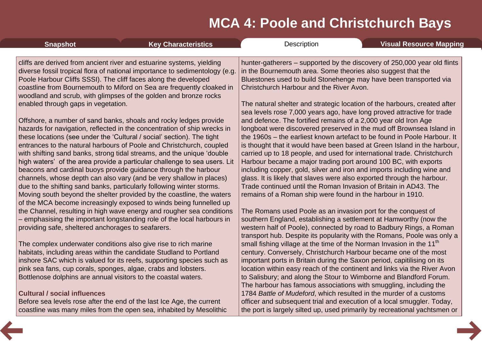| <b>Snapshot</b>                                                                                                                  | <b>Key Characteristics</b>                                                                                                                                                                                                                                                                                                                                           | Description                                                                                                                                                                                                                                                                                                                                                                | <b>Visual Resource Mapping</b> |
|----------------------------------------------------------------------------------------------------------------------------------|----------------------------------------------------------------------------------------------------------------------------------------------------------------------------------------------------------------------------------------------------------------------------------------------------------------------------------------------------------------------|----------------------------------------------------------------------------------------------------------------------------------------------------------------------------------------------------------------------------------------------------------------------------------------------------------------------------------------------------------------------------|--------------------------------|
|                                                                                                                                  | cliffs are derived from ancient river and estuarine systems, yielding<br>diverse fossil tropical flora of national importance to sedimentology (e.g.<br>Poole Harbour Cliffs SSSI). The cliff faces along the developed<br>coastline from Bournemouth to Miford on Sea are frequently cloaked in<br>woodland and scrub, with glimpses of the golden and bronze rocks | hunter-gatherers – supported by the discovery of 250,000 year old flints<br>in the Bournemouth area. Some theories also suggest that the<br>Bluestones used to build Stonehenge may have been transported via<br>Christchurch Harbour and the River Avon.                                                                                                                  |                                |
| enabled through gaps in vegetation.                                                                                              | Offshore, a number of sand banks, shoals and rocky ledges provide<br>hazards for navigation, reflected in the concentration of ship wrecks in<br>these locations (see under the 'Cultural / social' section). The tight                                                                                                                                              | The natural shelter and strategic location of the harbours, created after<br>sea levels rose 7,000 years ago, have long proved attractive for trade<br>and defence. The fortified remains of a 2,000 year old Iron Age<br>longboat were discovered preserved in the mud off Brownsea Island in<br>the 1960s – the earliest known artefact to be found in Poole Harbour. It |                                |
|                                                                                                                                  | entrances to the natural harbours of Poole and Christchurch, coupled<br>with shifting sand banks, strong tidal streams, and the unique 'double<br>high waters' of the area provide a particular challenge to sea users. Lit<br>beacons and cardinal buoys provide guidance through the harbour                                                                       | is thought that it would have been based at Green Island in the harbour,<br>carried up to 18 people, and used for international trade. Christchurch<br>Harbour became a major trading port around 100 BC, with exports<br>including copper, gold, silver and iron and imports including wine and                                                                           |                                |
|                                                                                                                                  | channels, whose depth can also vary (and be very shallow in places)<br>due to the shifting sand banks, particularly following winter storms.<br>Moving south beyond the shelter provided by the coastline, the waters<br>of the MCA become increasingly exposed to winds being funnelled up                                                                          | glass. It is likely that slaves were also exported through the harbour.<br>Trade continued until the Roman Invasion of Britain in AD43. The<br>remains of a Roman ship were found in the harbour in 1910.                                                                                                                                                                  |                                |
| providing safe, sheltered anchorages to seafarers.                                                                               | the Channel, resulting in high wave energy and rougher sea conditions<br>- emphasising the important longstanding role of the local harbours in                                                                                                                                                                                                                      | The Romans used Poole as an invasion port for the conquest of<br>southern England, establishing a settlement at Hamworthy (now the<br>western half of Poole), connected by road to Badbury Rings, a Roman<br>transport hub. Despite its popularity with the Romans, Poole was only a                                                                                       |                                |
|                                                                                                                                  | The complex underwater conditions also give rise to rich marine<br>habitats, including areas within the candidate Studland to Portland<br>inshore SAC which is valued for its reefs, supporting species such as                                                                                                                                                      | small fishing village at the time of the Norman Invasion in the 11 <sup>th</sup><br>century. Conversely, Christchurch Harbour became one of the most<br>important ports in Britain during the Saxon period, capitilising on its                                                                                                                                            |                                |
| pink sea fans, cup corals, sponges, algae, crabs and lobsters.<br>Bottlenose dolphins are annual visitors to the coastal waters. |                                                                                                                                                                                                                                                                                                                                                                      | location within easy reach of the continent and links via the River Avon<br>to Salisbury; and along the Stour to Wimborne and Blandford Forum.<br>The harbour has famous associations with smuggling, including the                                                                                                                                                        |                                |
| <b>Cultural / social influences</b>                                                                                              | Before sea levels rose after the end of the last Ice Age, the current                                                                                                                                                                                                                                                                                                | 1784 Battle of Mudeford, which resulted in the murder of a customs<br>officer and subsequent trial and execution of a local smuggler. Today,                                                                                                                                                                                                                               |                                |
|                                                                                                                                  | coastline was many miles from the open sea, inhabited by Mesolithic                                                                                                                                                                                                                                                                                                  | the port is largely silted up, used primarily by recreational yachtsmen or                                                                                                                                                                                                                                                                                                 |                                |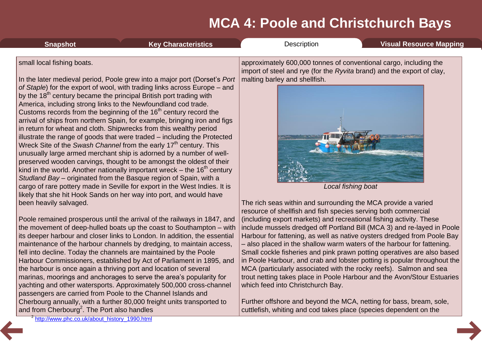| <b>Snapshot</b>            | <b>Key Characteristics</b>                                                                                                                                                                                                                                                                                                                                                                                                                                                                                                                                                                                                                                                                                                                                                                                                                                                                                                                                                                                                                                                                                                                                         | Description                                                                                                                                                                                        | <b>Visual Resource Mapping</b> |
|----------------------------|--------------------------------------------------------------------------------------------------------------------------------------------------------------------------------------------------------------------------------------------------------------------------------------------------------------------------------------------------------------------------------------------------------------------------------------------------------------------------------------------------------------------------------------------------------------------------------------------------------------------------------------------------------------------------------------------------------------------------------------------------------------------------------------------------------------------------------------------------------------------------------------------------------------------------------------------------------------------------------------------------------------------------------------------------------------------------------------------------------------------------------------------------------------------|----------------------------------------------------------------------------------------------------------------------------------------------------------------------------------------------------|--------------------------------|
| small local fishing boats. | In the later medieval period, Poole grew into a major port (Dorset's Port<br>of Staple) for the export of wool, with trading links across Europe – and<br>by the 18 <sup>th</sup> century became the principal British port trading with<br>America, including strong links to the Newfoundland cod trade.<br>Customs records from the beginning of the 16 <sup>th</sup> century record the<br>arrival of ships from northern Spain, for example, bringing iron and figs<br>in return for wheat and cloth. Shipwrecks from this wealthy period<br>illustrate the range of goods that were traded – including the Protected<br>Wreck Site of the Swash Channel from the early 17 <sup>th</sup> century. This<br>unusually large armed merchant ship is adorned by a number of well-<br>preserved wooden carvings, thought to be amongst the oldest of their<br>kind in the world. Another nationally important wreck – the $16th$ century<br>Studland Bay - originated from the Basque region of Spain, with a<br>cargo of rare pottery made in Seville for export in the West Indies. It is<br>likely that she hit Hook Sands on her way into port, and would have | approximately 600,000 tonnes of conventional cargo, including the<br>import of steel and rye (for the Ryvita brand) and the export of clay,<br>malting barley and shellfish.<br>Local fishing boat |                                |
| been heavily salvaged.     |                                                                                                                                                                                                                                                                                                                                                                                                                                                                                                                                                                                                                                                                                                                                                                                                                                                                                                                                                                                                                                                                                                                                                                    | The rich seas within and surrounding the MCA provide a varied<br>resource of shellfish and fish species serving both commercial                                                                    |                                |

Poole remained prosperous until the arrival of the railways in 1847, and the movement of deep-hulled boats up the coast to Southampton – with its deeper harbour and closer links to London. In addition, the essential maintenance of the harbour channels by dredging, to maintain access, fell into decline. Today the channels are maintained by the Poole Harbour Commissioners, established by Act of Parliament in 1895, and the harbour is once again a thriving port and location of several marinas, moorings and anchorages to serve the area's popularity for yachting and other watersports. Approximately 500,000 cross-channel passengers are carried from Poole to the Channel Islands and Cherbourg annually, with a further 80,000 freight units transported to and from Cherbourg<sup>2</sup>. The Port also handles

(including export markets) and recreational fishing activity. These include mussels dredged off Portland Bill (MCA 3) and re-layed in Poole Harbour for fattening, as well as native oysters dredged from Poole Bay – also placed in the shallow warm waters of the harbour for fattening. Small cockle fisheries and pink prawn potting operatives are also based in Poole Harbour, and crab and lobster potting is popular throughout the MCA (particularly associated with the rocky reefs). Salmon and sea trout netting takes place in Poole Harbour and the Avon/Stour Estuaries which feed into Christchurch Bay.

Further offshore and beyond the MCA, netting for bass, bream, sole, cuttlefish, whiting and cod takes place (species dependent on the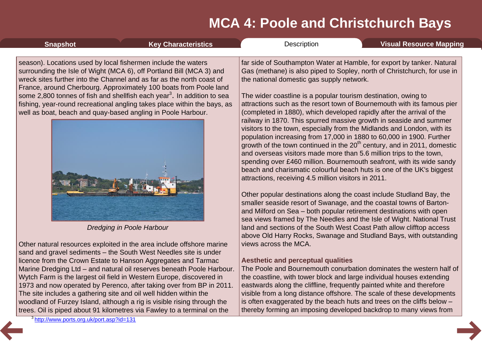| <b>Snapshot</b>                                                                                                               | <b>Key Characteristics</b>                                                                                                                                                                                                                                                                                                                                                                                                                                                                  | Description                                                                                                                                                                                                                                                                                                                                                                                                                                                                                                                                                                                                                                                                                                                                                                                                                                                                                                                                                                                                                                                                                                                                                                                                                                                                                                                                                                                                                                                                                  | <b>Visual Resource Mapping</b> |
|-------------------------------------------------------------------------------------------------------------------------------|---------------------------------------------------------------------------------------------------------------------------------------------------------------------------------------------------------------------------------------------------------------------------------------------------------------------------------------------------------------------------------------------------------------------------------------------------------------------------------------------|----------------------------------------------------------------------------------------------------------------------------------------------------------------------------------------------------------------------------------------------------------------------------------------------------------------------------------------------------------------------------------------------------------------------------------------------------------------------------------------------------------------------------------------------------------------------------------------------------------------------------------------------------------------------------------------------------------------------------------------------------------------------------------------------------------------------------------------------------------------------------------------------------------------------------------------------------------------------------------------------------------------------------------------------------------------------------------------------------------------------------------------------------------------------------------------------------------------------------------------------------------------------------------------------------------------------------------------------------------------------------------------------------------------------------------------------------------------------------------------------|--------------------------------|
| season). Locations used by local fishermen include the waters<br>well as boat, beach and quay-based angling in Poole Harbour. | surrounding the Isle of Wight (MCA 6), off Portland Bill (MCA 3) and<br>wreck sites further into the Channel and as far as the north coast of<br>France, around Cherbourg. Approximately 100 boats from Poole land<br>some 2,800 tonnes of fish and shellfish each year <sup>3</sup> . In addition to sea<br>fishing, year-round recreational angling takes place within the bays, as<br>Dredging in Poole Harbour<br>Other natural resources exploited in the area include offshore marine | far side of Southampton Water at Hamble, for export by tanker. Natural<br>Gas (methane) is also piped to Sopley, north of Christchurch, for use in<br>the national domestic gas supply network.<br>The wider coastline is a popular tourism destination, owing to<br>attractions such as the resort town of Bournemouth with its famous pier<br>(completed in 1880), which developed rapidly after the arrival of the<br>railway in 1870. This spurred massive growth in seaside and summer<br>visitors to the town, especially from the Midlands and London, with its<br>population increasing from 17,000 in 1880 to 60,000 in 1900. Further<br>growth of the town continued in the 20 <sup>th</sup> century, and in 2011, domestic<br>and overseas visitors made more than 5.6 million trips to the town,<br>spending over £460 million. Bournemouth seafront, with its wide sandy<br>beach and charismatic colourful beach huts is one of the UK's biggest<br>attractions, receiving 4.5 million visitors in 2011.<br>Other popular destinations along the coast include Studland Bay, the<br>smaller seaside resort of Swanage, and the coastal towns of Barton-<br>and Milford on Sea - both popular retirement destinations with open<br>sea views framed by The Needles and the Isle of Wight. National Trust<br>land and sections of the South West Coast Path allow clifftop access<br>above Old Harry Rocks, Swanage and Studland Bays, with outstanding<br>views across the MCA. |                                |
|                                                                                                                               | sand and gravel sediments – the South West Needles site is under                                                                                                                                                                                                                                                                                                                                                                                                                            |                                                                                                                                                                                                                                                                                                                                                                                                                                                                                                                                                                                                                                                                                                                                                                                                                                                                                                                                                                                                                                                                                                                                                                                                                                                                                                                                                                                                                                                                                              |                                |

#### **Aesthetic and perceptual qualities**

The Poole and Bournemouth conurbation dominates the western half of the coastline, with tower block and large individual houses extending eastwards along the cliffline, frequently painted white and therefore visible from a long distance offshore. The scale of these developments is often exaggerated by the beach huts and trees on the cliffs below – thereby forming an imposing developed backdrop to many views from

licence from the Crown Estate to Hanson Aggregates and Tarmac Marine Dredging Ltd – and natural oil reserves beneath Poole Harbour. Wytch Farm is the largest oil field in Western Europe, discovered in 1973 and now operated by Perenco, after taking over from BP in 2011.

The site includes a gathering site and oil well hidden within the

woodland of Furzey Island, although a rig is visible rising through the trees. Oil is piped about 91 kilometres via Fawley to a terminal on the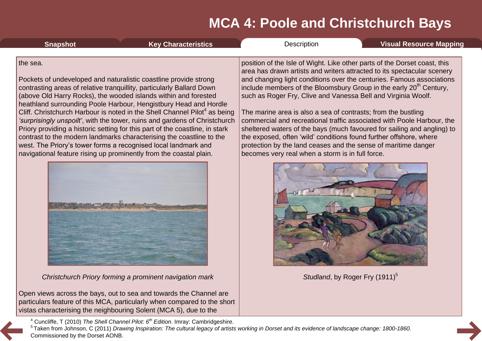<span id="page-8-0"></span>

| <b>Snapshot</b> | <b>Key Characteristics</b>                                                                                                                | Description                                                                    | Visual Resource Mapping                                                                                                                              |
|-----------------|-------------------------------------------------------------------------------------------------------------------------------------------|--------------------------------------------------------------------------------|------------------------------------------------------------------------------------------------------------------------------------------------------|
| the sea.        |                                                                                                                                           |                                                                                | position of the Isle of Wight. Like other parts of the Dorset coast, this<br>area has drawn artists and writers attracted to its spectacular scenery |
|                 | Pockets of undeveloped and naturalistic coastline provide strong<br>contrasting areas of relative tranquillity, particularly Ballard Down | include members of the Bloomsbury Group in the early 20 <sup>th</sup> Century, | and changing light conditions over the centuries. Famous associations                                                                                |

(above Old Harry Rocks), the wooded islands within and forested heathland surrounding Poole Harbour, Hengistbury Head and Hordle Cliff. Christchurch Harbour is noted in the Shell Channel Pilot<sup>4</sup> as being *'surprisingly unspoilt'*, with the tower, ruins and gardens of Christchurch Priory providing a historic setting for this part of the coastline, in stark contrast to the modern landmarks characterising the coastline to the west. The Priory's tower forms a recognised local landmark and navigational feature rising up prominently from the coastal plain.



*Christchurch Priory forming a prominent navigation mark*

Open views across the bays, out to sea and towards the Channel are particulars feature of this MCA, particularly when compared to the short vistas characterising the neighbouring Solent (MCA 5), due to the

include members of the Bloomsbury Group in the early 20<sup>th</sup> Century, such as Roger Fry, Clive and Vanessa Bell and Virginia Woolf.

The marine area is also a sea of contrasts; from the bustling commercial and recreational traffic associated with Poole Harbour, the sheltered waters of the bays (much favoured for sailing and angling) to the exposed, often 'wild' conditions found further offshore, where protection by the land ceases and the sense of maritime danger becomes very real when a storm is in full force.



Studland, by Roger Fry (1911)<sup>5</sup>

<sup>4</sup> Cuncliffe, T (2010) *The Shell Channel Pilot: 6th Edition*. Imray: Cambridgeshire.

<sup>5</sup> Taken from Johnson, C (2011) Drawing Inspiration: The cultural legacy of artists working in Dorset and its evidence of landscape change: 1800-1860. Commissioned by the Dorset AONB.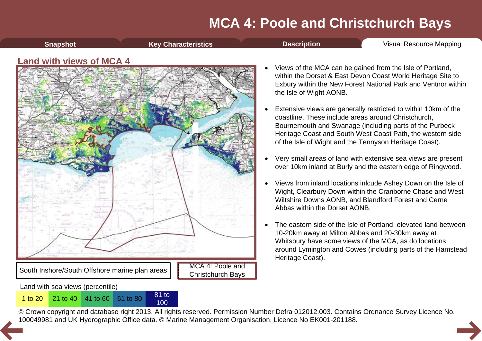**[Snapshot](#page-1-0) Key [Characteristics](#page-3-0) [Description](#page-4-0) Visual [Resource](#page-9-0) Mapping** 

#### <span id="page-9-0"></span>**Land with views of MCA 4**



100

- Views of the MCA can be gained from the Isle of Portland, within the Dorset & East Devon Coast World Heritage Site to Exbury within the New Forest National Park and Ventnor within the Isle of Wight AONB.
- Extensive views are generally restricted to within 10km of the coastline. These include areas around Christchurch, Bournemouth and Swanage (including parts of the Purbeck Heritage Coast and South West Coast Path, the western side of the Isle of Wight and the Tennyson Heritage Coast).
- · Very small areas of land with extensive sea views are present over 10km inland at Burly and the eastern edge of Ringwood.
- · Views from inland locations inlcude Ashey Down on the Isle of Wight, Clearbury Down within the Cranborne Chase and West Wiltshire Downs AONB, and Blandford Forest and Cerne Abbas within the Dorset AONB.
- · The eastern side of the Isle of Portland, elevated land between 10-20km away at Milton Abbas and 20-30km away at Whitsbury have some views of the MCA, as do locations around Lymington and Cowes (including parts of the Hamstead Heritage Coast).

© Crown copyright and database right 2013. All rights reserved. Permission Number Defra 012012.003. Contains Ordnance Survey Licence No. 1 to 20<sup>21</sup> to 40<sup>41</sup> to 60<sup>61</sup> to 80<sup>81</sup> to 80<sup>81</sup> to 80<sup>81</sup> to [10](#page-8-0)0<br>© Crown copyright and database right 2013. All rights reserved. Permission Number Defra 012012.003. Contain<br>100049981 and UK Hydrographic Office data. ©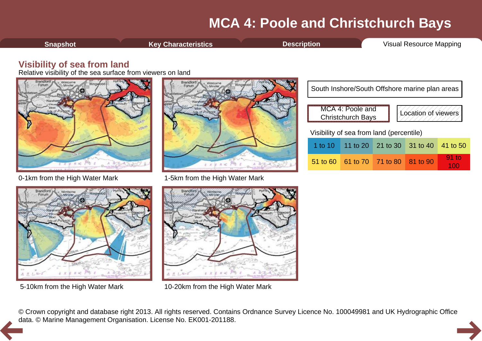<span id="page-10-0"></span>**[Snapshot](#page-1-0) Key [Characteristics](#page-3-0) [Description](#page-4-0) Visual [Resource](#page-9-0) Mapping** 

#### **Visibility of sea from land**

Relative visibility of the sea surface from viewers on land









5-10km from the High Water Mark 10-20km from the High Water Mark

| South Inshore/South Offshore marine plan areas                      |                                          |                            |  |          |  |  |
|---------------------------------------------------------------------|------------------------------------------|----------------------------|--|----------|--|--|
| MCA 4: Poole and<br>Location of viewers<br><b>Christchurch Bays</b> |                                          |                            |  |          |  |  |
|                                                                     | Visibility of sea from land (percentile) |                            |  |          |  |  |
| 1 to 10 $\parallel$                                                 |                                          | 11 to 20 21 to 30 31 to 40 |  | 41 to 50 |  |  |
| $51$ to 60                                                          |                                          | 61 to 70 71 to 80 81 to 90 |  | 91 to    |  |  |

© Crown copyright and database right 2013. All rights reserved. Contains Ordnance Survey Licence No. 100049981 and UK Hydrographic Office [da](#page-9-0)ta. © Marine Management Organisation. License No. EK001-201188.